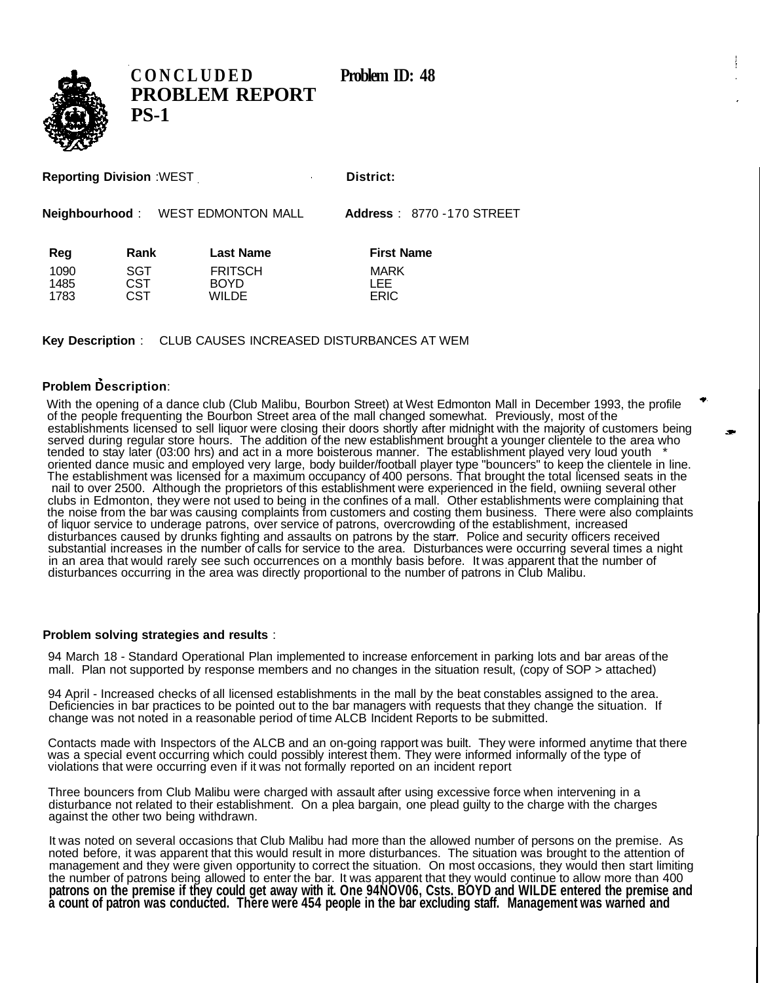

**CONCLUDED** Problem ID: 48 **PROBLEM REPORT PS-1**

| <b>Reporting Division :WEST</b> |  |  |
|---------------------------------|--|--|
|---------------------------------|--|--|

**District:** 

**Neighbourhood** : WEST EDMONTON MALL **Address** : 8770 -170 STREET

| Neighbourhood: | <b>WEST EDMONTON MALL</b> | Address: |
|----------------|---------------------------|----------|
|                |                           |          |

| Reg  | Rank | <b>Last Name</b> | <b>First Name</b> |
|------|------|------------------|-------------------|
| 1090 | SGT  | <b>FRITSCH</b>   | <b>MARK</b>       |
| 1485 | CST  | <b>BOYD</b>      | I FF              |
| 1783 | CST  | WII DE           | <b>ERIC</b>       |

**Key Description** : CLUB CAUSES INCREASED DISTURBANCES AT WEM

## **Problem Description**:

With the opening of a dance club (Club Malibu, Bourbon Street) at West Edmonton Mall in December 1993, the profile of the people frequenting the Bourbon Street area of the mall changed somewhat. Previously, most of the establishments licensed to sell liquor were closing their doors shortly after midnight with the majority of customers being served during regular store hours. The addition of the new establishment brought a younger clientele to the area who tended to stay later (03:00 hrs) and act in a more boisterous manner. The establishment played very loud youth \* oriented dance music and employed very large, body builder/football player type "bouncers" to keep the clientele in line. The establishment was licensed for a maximum occupancy of 400 persons. That brought the total licensed seats in the nail to over 2500. Although the proprietors of this establishment were experienced in the field, owniing several other clubs in Edmonton, they were not used to being in the confines of a mall. Other establishments were complaining that the noise from the bar was causing complaints from customers and costing them business. There were also complaints of liquor service to underage patrons, over service of patrons, overcrowding of the establishment, increased disturbances caused by drunks fighting and assaults on patrons by the starr. Police and security officers received substantial increases in the number of calls for service to the area. Disturbances were occurring several times a night in an area that would rarely see such occurrences on a monthly basis before. It was apparent that the number of disturbances occurring in the area was directly proportional to the number of patrons in Club Malibu.

## **Problem solving strategies and results** :

94 March 18 - Standard Operational Plan implemented to increase enforcement in parking lots and bar areas of the mall. Plan not supported by response members and no changes in the situation result, (copy of SOP > attached)

94 April - Increased checks of all licensed establishments in the mall by the beat constables assigned to the area. Deficiencies in bar practices to be pointed out to the bar managers with requests that they change the situation. If change was not noted in a reasonable period of time ALCB Incident Reports to be submitted.

Contacts made with Inspectors of the ALCB and an on-going rapport was built. They were informed anytime that there was a special event occurring which could possibly interest them. They were informed informally of the type of violations that were occurring even if it was not formally reported on an incident report

Three bouncers from Club Malibu were charged with assault after using excessive force when intervening in a disturbance not related to their establishment. On a plea bargain, one plead guilty to the charge with the charges against the other two being withdrawn.

It was noted on several occasions that Club Malibu had more than the allowed number of persons on the premise. As noted before, it was apparent that this would result in more disturbances. The situation was brought to the attention of management and they were given opportunity to correct the situation. On most occasions, they would then start limiting the number of patrons being allowed to enter the bar. It was apparent that they would continue to allow more than 400 **patrons on the premise if they could get away with it. One 94NOV06, Csts. BOYD and WILDE entered the premise and a count of patron was conducted. There were 454 people in the bar excluding staff. Management was warned and**